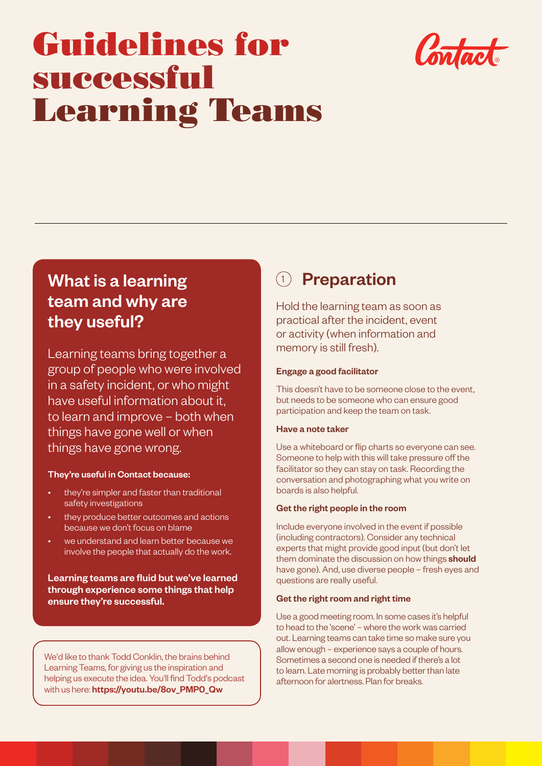# Guidelines for successful Learning Teams



# What is a learning team and why are they useful?

Learning teams bring together a group of people who were involved in a safety incident, or who might have useful information about it, to learn and improve – both when things have gone well or when things have gone wrong.

#### They're useful in Contact because:

- they're simpler and faster than traditional safety investigations
- they produce better outcomes and actions because we don't focus on blame
- we understand and learn better because we involve the people that actually do the work.

Learning teams are fluid but we've learned through experience some things that help ensure they're successful.

We'd like to thank Todd Conklin, the brains behind Learning Teams, for giving us the inspiration and helping us execute the idea. You'll find Todd's podcast with us here: [https://youtu.be/8ov\\_PMP0\\_Qw](https://youtu.be/8ov_PMP0_Qw) 

# <sup>1</sup> Preparation

Hold the learning team as soon as practical after the incident, event or activity (when information and memory is still fresh).

#### Engage a good facilitator

This doesn't have to be someone close to the event, but needs to be someone who can ensure good participation and keep the team on task.

#### Have a note taker

Use a whiteboard or flip charts so everyone can see. Someone to help with this will take pressure off the facilitator so they can stay on task. Recording the conversation and photographing what you write on boards is also helpful.

#### Get the right people in the room

Include everyone involved in the event if possible (including contractors). Consider any technical experts that might provide good input (but don't let them dominate the discussion on how things **should** have gone). And, use diverse people – fresh eyes and questions are really useful.

#### Get the right room and right time

Use a good meeting room. In some cases it's helpful to head to the 'scene' – where the work was carried out. Learning teams can take time so make sure you allow enough – experience says a couple of hours. Sometimes a second one is needed if there's a lot to learn. Late morning is probably better than late afternoon for alertness. Plan for breaks.